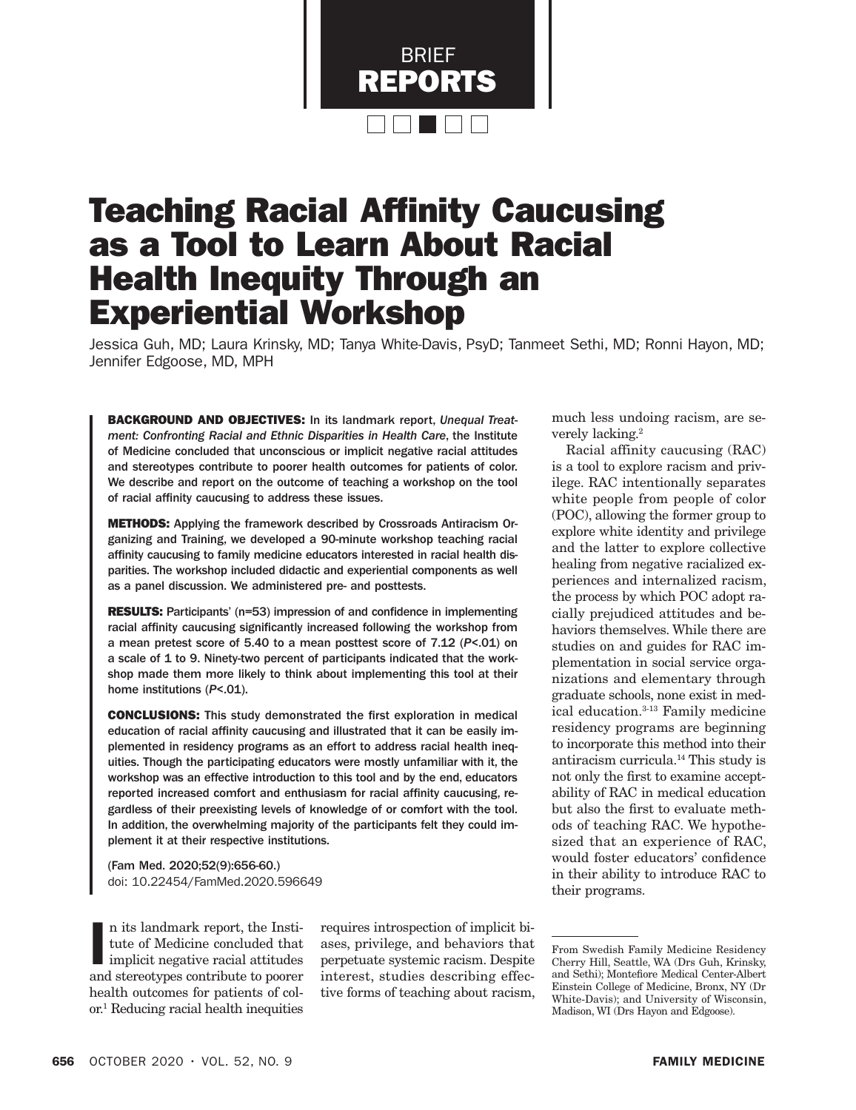

# Teaching Racial Affinity Caucusing as a Tool to Learn About Racial Health Inequity Through an Experiential Workshop

Jessica Guh, MD; Laura Krinsky, MD; Tanya White-Davis, PsyD; Tanmeet Sethi, MD; Ronni Hayon, MD; Jennifer Edgoose, MD, MPH

BACKGROUND AND OBJECTIVES: In its landmark report, *Unequal Treatment: Confronting Racial and Ethnic Disparities in Health Care*, the Institute of Medicine concluded that unconscious or implicit negative racial attitudes and stereotypes contribute to poorer health outcomes for patients of color. We describe and report on the outcome of teaching a workshop on the tool of racial affinity caucusing to address these issues.

METHODS: Applying the framework described by Crossroads Antiracism Organizing and Training, we developed a 90-minute workshop teaching racial affinity caucusing to family medicine educators interested in racial health disparities. The workshop included didactic and experiential components as well as a panel discussion. We administered pre- and posttests.

**RESULTS:** Participants' (n=53) impression of and confidence in implementing racial affinity caucusing significantly increased following the workshop from a mean pretest score of 5.40 to a mean posttest score of 7.12 (*P*<.01) on a scale of 1 to 9. Ninety-two percent of participants indicated that the workshop made them more likely to think about implementing this tool at their home institutions (*P*<.01).

CONCLUSIONS: This study demonstrated the first exploration in medical education of racial affinity caucusing and illustrated that it can be easily implemented in residency programs as an effort to address racial health inequities. Though the participating educators were mostly unfamiliar with it, the workshop was an effective introduction to this tool and by the end, educators reported increased comfort and enthusiasm for racial affinity caucusing, regardless of their preexisting levels of knowledge of or comfort with the tool. In addition, the overwhelming majority of the participants felt they could implement it at their respective institutions.

(Fam Med. 2020;52(9):656-60.) doi: 10.22454/FamMed.2020.596649

n its landmark report, the Institute of Medicine concluded that<br>implicit negative racial attitudes<br>and stereotypes contribute to poorer n its landmark report, the Institute of Medicine concluded that implicit negative racial attitudes health outcomes for patients of color.1 Reducing racial health inequities

requires introspection of implicit biases, privilege, and behaviors that perpetuate systemic racism. Despite interest, studies describing effective forms of teaching about racism, much less undoing racism, are severely lacking.2

Racial affinity caucusing (RAC) is a tool to explore racism and privilege. RAC intentionally separates white people from people of color (POC), allowing the former group to explore white identity and privilege and the latter to explore collective healing from negative racialized experiences and internalized racism, the process by which POC adopt racially prejudiced attitudes and behaviors themselves. While there are studies on and guides for RAC implementation in social service organizations and elementary through graduate schools, none exist in medical education.3-13 Family medicine residency programs are beginning to incorporate this method into their antiracism curricula.14 This study is not only the first to examine acceptability of RAC in medical education but also the first to evaluate methods of teaching RAC. We hypothesized that an experience of RAC, would foster educators' confidence in their ability to introduce RAC to their programs.

From Swedish Family Medicine Residency Cherry Hill, Seattle, WA (Drs Guh, Krinsky, and Sethi); Montefiore Medical Center-Albert Einstein College of Medicine, Bronx, NY (Dr White-Davis); and University of Wisconsin, Madison, WI (Drs Hayon and Edgoose).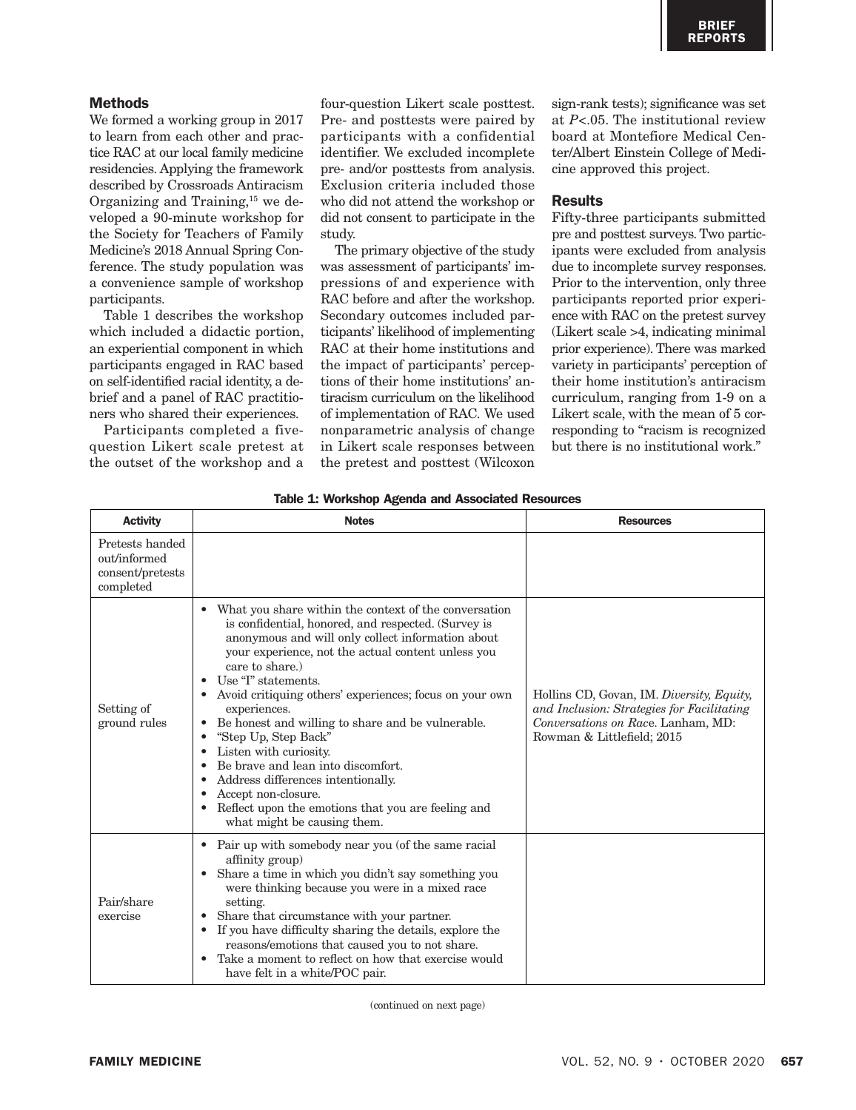# **Methods**

We formed a working group in 2017 to learn from each other and practice RAC at our local family medicine residencies. Applying the framework described by Crossroads Antiracism Organizing and Training,15 we developed a 90-minute workshop for the Society for Teachers of Family Medicine's 2018 Annual Spring Conference. The study population was a convenience sample of workshop participants.

Table 1 describes the workshop which included a didactic portion, an experiential component in which participants engaged in RAC based on self-identified racial identity, a debrief and a panel of RAC practitioners who shared their experiences.

Participants completed a fivequestion Likert scale pretest at the outset of the workshop and a

four-question Likert scale posttest. Pre- and posttests were paired by participants with a confidential identifier. We excluded incomplete pre- and/or posttests from analysis. Exclusion criteria included those who did not attend the workshop or did not consent to participate in the study.

The primary objective of the study was assessment of participants' impressions of and experience with RAC before and after the workshop. Secondary outcomes included participants' likelihood of implementing RAC at their home institutions and the impact of participants' perceptions of their home institutions' antiracism curriculum on the likelihood of implementation of RAC. We used nonparametric analysis of change in Likert scale responses between the pretest and posttest (Wilcoxon

sign-rank tests); significance was set at *P*<.05. The institutional review board at Montefiore Medical Center/Albert Einstein College of Medicine approved this project.

#### Results

Fifty-three participants submitted pre and posttest surveys. Two participants were excluded from analysis due to incomplete survey responses. Prior to the intervention, only three participants reported prior experience with RAC on the pretest survey (Likert scale >4, indicating minimal prior experience). There was marked variety in participants' perception of their home institution's antiracism curriculum, ranging from 1-9 on a Likert scale, with the mean of 5 corresponding to "racism is recognized but there is no institutional work."

|  |  | Table 1: Workshop Agenda and Associated Resources |  |
|--|--|---------------------------------------------------|--|
|  |  |                                                   |  |

| <b>Activity</b>                                                  | <b>Notes</b>                                                                                                                                                                                                                                                                                                                                                                                                                                                                                                                                                                                                                                                                                                                                | <b>Resources</b>                                                                                                                                            |
|------------------------------------------------------------------|---------------------------------------------------------------------------------------------------------------------------------------------------------------------------------------------------------------------------------------------------------------------------------------------------------------------------------------------------------------------------------------------------------------------------------------------------------------------------------------------------------------------------------------------------------------------------------------------------------------------------------------------------------------------------------------------------------------------------------------------|-------------------------------------------------------------------------------------------------------------------------------------------------------------|
| Pretests handed<br>out/informed<br>consent/pretests<br>completed |                                                                                                                                                                                                                                                                                                                                                                                                                                                                                                                                                                                                                                                                                                                                             |                                                                                                                                                             |
| Setting of<br>ground rules                                       | What you share within the context of the conversation<br>$\bullet$<br>is confidential, honored, and respected. (Survey is<br>anonymous and will only collect information about<br>your experience, not the actual content unless you<br>care to share.)<br>Use "I" statements.<br>Avoid critiquing others' experiences; focus on your own<br>experiences.<br>Be honest and willing to share and be vulnerable.<br>$\bullet$<br>"Step Up, Step Back"<br>$\bullet$<br>Listen with curiosity.<br>$\bullet$<br>Be brave and lean into discomfort.<br>$\bullet$<br>Address differences intentionally.<br>$\bullet$<br>Accept non-closure.<br>$\bullet$<br>Reflect upon the emotions that you are feeling and<br>٠<br>what might be causing them. | Hollins CD, Govan, IM. Diversity, Equity,<br>and Inclusion: Strategies for Facilitating<br>Conversations on Race, Lanham, MD:<br>Rowman & Littlefield; 2015 |
| Pair/share<br>exercise                                           | Pair up with somebody near you (of the same racial<br>$\bullet$<br>affinity group)<br>Share a time in which you didn't say something you<br>٠<br>were thinking because you were in a mixed race<br>setting.<br>Share that circumstance with your partner.<br>٠<br>If you have difficulty sharing the details, explore the<br>٠<br>reasons/emotions that caused you to not share.<br>Take a moment to reflect on how that exercise would<br>$\bullet$<br>have felt in a white/POC pair.                                                                                                                                                                                                                                                      |                                                                                                                                                             |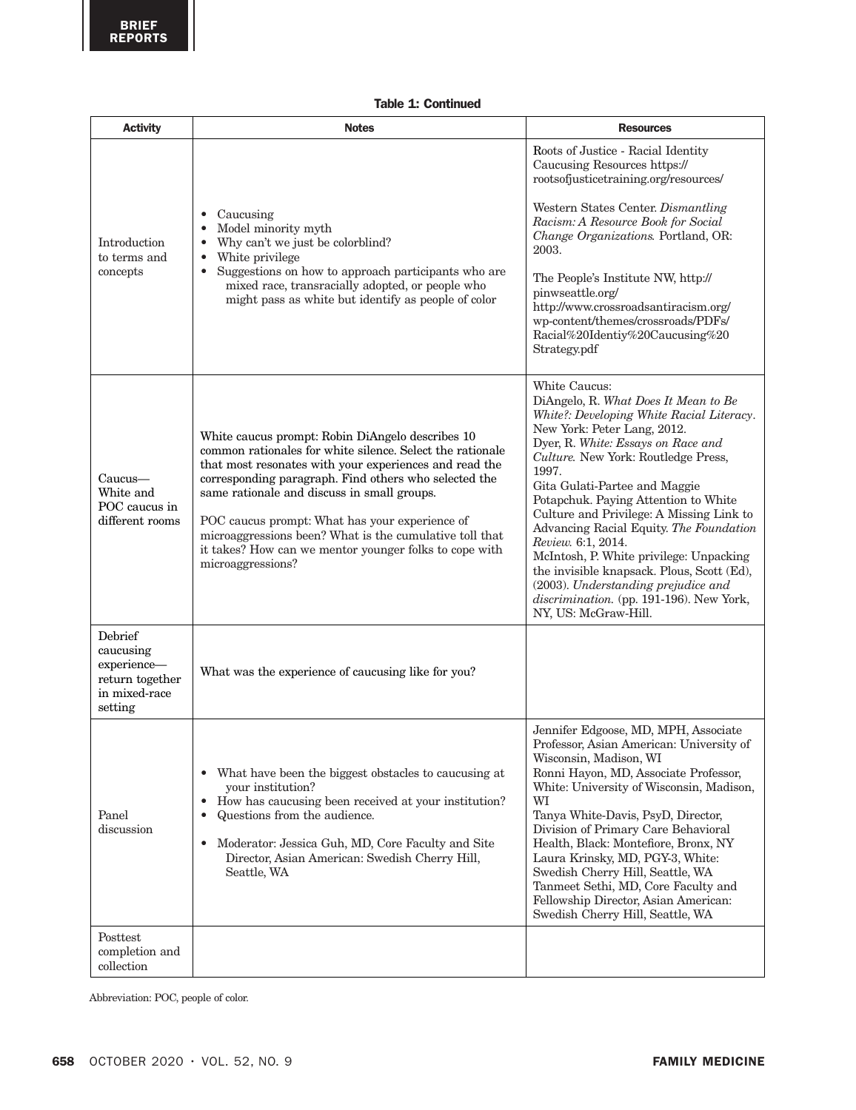| <b>Activity</b>                                                                    | <b>Notes</b>                                                                                                                                                                                                                                                                                                                                                                                                                                                                | <b>Resources</b>                                                                                                                                                                                                                                                                                                                                                                                                                                                                                                                                                                                                  |  |  |
|------------------------------------------------------------------------------------|-----------------------------------------------------------------------------------------------------------------------------------------------------------------------------------------------------------------------------------------------------------------------------------------------------------------------------------------------------------------------------------------------------------------------------------------------------------------------------|-------------------------------------------------------------------------------------------------------------------------------------------------------------------------------------------------------------------------------------------------------------------------------------------------------------------------------------------------------------------------------------------------------------------------------------------------------------------------------------------------------------------------------------------------------------------------------------------------------------------|--|--|
| Introduction<br>to terms and<br>concepts                                           | Caucusing<br>$\bullet$<br>Model minority myth<br>$\bullet$<br>Why can't we just be colorblind?<br>$\bullet$<br>White privilege<br>$\bullet$<br>Suggestions on how to approach participants who are<br>$\bullet$<br>mixed race, transracially adopted, or people who<br>might pass as white but identify as people of color                                                                                                                                                  | Roots of Justice - Racial Identity<br>Caucusing Resources https://<br>rootsofjusticetraining.org/resources/<br>Western States Center. Dismantling<br>Racism: A Resource Book for Social<br>Change Organizations. Portland, OR:<br>2003.<br>The People's Institute NW, http://<br>pinwseattle.org/<br>http://www.crossroadsantiracism.org/<br>wp-content/themes/crossroads/PDFs/<br>Racial%20Identiy%20Caucusing%20<br>Strategy.pdf                                                                                                                                                                                |  |  |
| Caucus—<br>White and<br>POC caucus in<br>different rooms                           | White caucus prompt: Robin DiAngelo describes 10<br>common rationales for white silence. Select the rationale<br>that most resonates with your experiences and read the<br>corresponding paragraph. Find others who selected the<br>same rationale and discuss in small groups.<br>POC caucus prompt: What has your experience of<br>microaggressions been? What is the cumulative toll that<br>it takes? How can we mentor younger folks to cope with<br>microaggressions? | White Caucus:<br>DiAngelo, R. What Does It Mean to Be<br>White?: Developing White Racial Literacy.<br>New York: Peter Lang, 2012.<br>Dyer, R. White: Essays on Race and<br>Culture. New York: Routledge Press,<br>1997.<br>Gita Gulati-Partee and Maggie<br>Potapchuk. Paying Attention to White<br>Culture and Privilege: A Missing Link to<br>Advancing Racial Equity. The Foundation<br>Review. 6:1, 2014.<br>McIntosh, P. White privilege: Unpacking<br>the invisible knapsack. Plous, Scott (Ed),<br>(2003). Understanding prejudice and<br>discrimination. (pp. 191-196). New York,<br>NY, US: McGraw-Hill. |  |  |
| Debrief<br>caucusing<br>experience-<br>return together<br>in mixed-race<br>setting | What was the experience of caucusing like for you?                                                                                                                                                                                                                                                                                                                                                                                                                          |                                                                                                                                                                                                                                                                                                                                                                                                                                                                                                                                                                                                                   |  |  |
| Panel<br>discussion                                                                | What have been the biggest obstacles to caucusing at<br>$\bullet$<br>your institution?<br>How has caucusing been received at your institution?<br>$\bullet$<br>Questions from the audience.<br>$\bullet$<br>Moderator: Jessica Guh, MD, Core Faculty and Site<br>$\bullet$<br>Director, Asian American: Swedish Cherry Hill,<br>Seattle, WA                                                                                                                                 | Jennifer Edgoose, MD, MPH, Associate<br>Professor, Asian American: University of<br>Wisconsin, Madison, WI<br>Ronni Hayon, MD, Associate Professor,<br>White: University of Wisconsin, Madison,<br>WI<br>Tanya White-Davis, PsyD, Director,<br>Division of Primary Care Behavioral<br>Health, Black: Montefiore, Bronx, NY<br>Laura Krinsky, MD, PGY-3, White:<br>Swedish Cherry Hill, Seattle, WA<br>Tanmeet Sethi, MD, Core Faculty and<br>Fellowship Director, Asian American:<br>Swedish Cherry Hill, Seattle, WA                                                                                             |  |  |
| Posttest<br>completion and<br>collection                                           |                                                                                                                                                                                                                                                                                                                                                                                                                                                                             |                                                                                                                                                                                                                                                                                                                                                                                                                                                                                                                                                                                                                   |  |  |

Abbreviation: POC, people of color.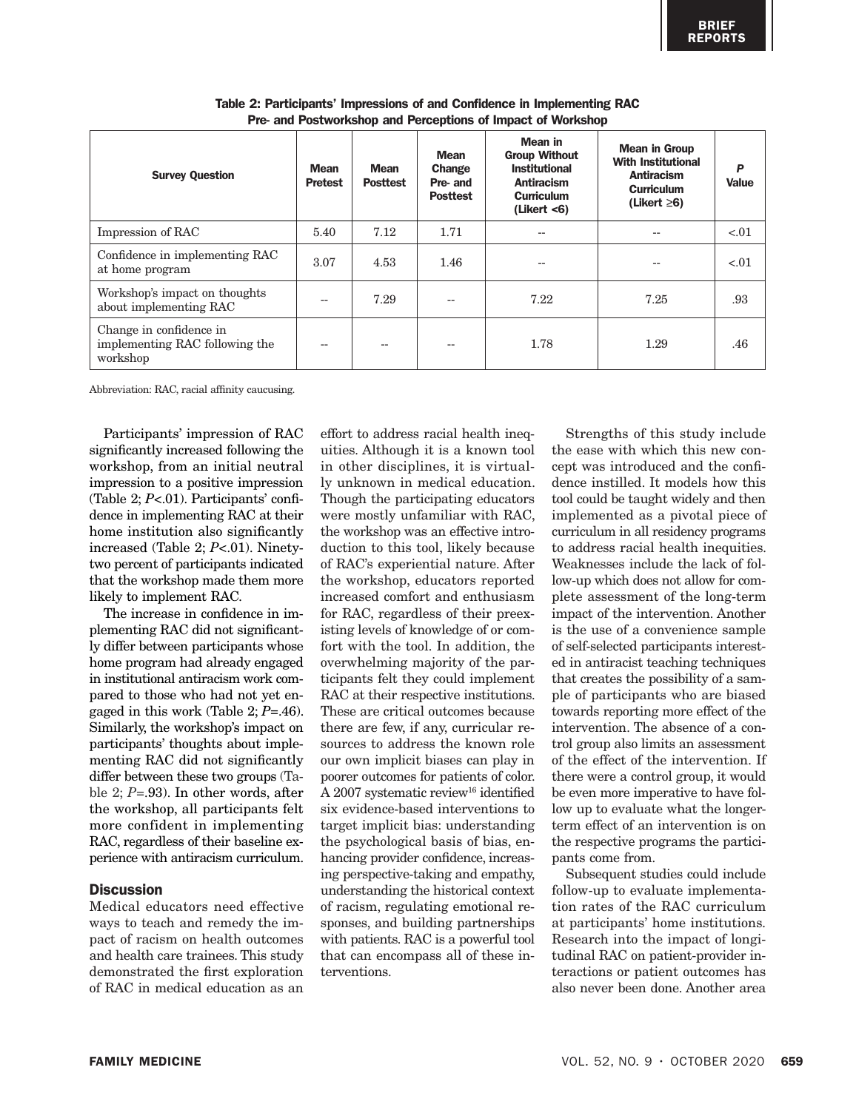| <b>Survey Question</b>                                                | <b>Mean</b><br><b>Pretest</b> | <b>Mean</b><br><b>Posttest</b> | <b>Mean</b><br>Change<br>Pre- and<br><b>Posttest</b> | Mean in<br><b>Group Without</b><br><b>Institutional</b><br><b>Antiracism</b><br><b>Curriculum</b><br>(Likert < 6) | <b>Mean in Group</b><br><b>With Institutional</b><br><b>Antiracism</b><br><b>Curriculum</b><br>(Likert $\geq 6$ ) | P<br><b>Value</b> |
|-----------------------------------------------------------------------|-------------------------------|--------------------------------|------------------------------------------------------|-------------------------------------------------------------------------------------------------------------------|-------------------------------------------------------------------------------------------------------------------|-------------------|
| Impression of RAC                                                     | 5.40                          | 7.12                           | 1.71                                                 | --                                                                                                                |                                                                                                                   | < 0.01            |
| Confidence in implementing RAC<br>at home program                     | 3.07                          | 4.53                           | 1.46                                                 | --                                                                                                                |                                                                                                                   | $-.01$            |
| Workshop's impact on thoughts<br>about implementing RAC               |                               | 7.29                           |                                                      | 7.22                                                                                                              | 7.25                                                                                                              | .93               |
| Change in confidence in<br>implementing RAC following the<br>workshop |                               | $\overline{\phantom{a}}$       |                                                      | 1.78                                                                                                              | 1.29                                                                                                              | .46               |

Table 2: Participants' Impressions of and Confidence in Implementing RAC Pre- and Postworkshop and Perceptions of Impact of Workshop

Abbreviation: RAC, racial affinity caucusing.

Participants' impression of RAC significantly increased following the workshop, from an initial neutral impression to a positive impression (Table 2; *P*<.01). Participants' confidence in implementing RAC at their home institution also significantly increased (Table 2; *P*<.01). Ninetytwo percent of participants indicated that the workshop made them more likely to implement RAC.

The increase in confidence in implementing RAC did not significantly differ between participants whose home program had already engaged in institutional antiracism work compared to those who had not yet engaged in this work (Table 2; *P=*.46). Similarly, the workshop's impact on participants' thoughts about implementing RAC did not significantly differ between these two groups (Table 2; *P=*.93). In other words, after the workshop, all participants felt more confident in implementing RAC, regardless of their baseline experience with antiracism curriculum.

## **Discussion**

Medical educators need effective ways to teach and remedy the impact of racism on health outcomes and health care trainees. This study demonstrated the first exploration of RAC in medical education as an

effort to address racial health inequities. Although it is a known tool in other disciplines, it is virtually unknown in medical education. Though the participating educators were mostly unfamiliar with RAC, the workshop was an effective introduction to this tool, likely because of RAC's experiential nature. After the workshop, educators reported increased comfort and enthusiasm for RAC, regardless of their preexisting levels of knowledge of or comfort with the tool. In addition, the overwhelming majority of the participants felt they could implement RAC at their respective institutions. These are critical outcomes because there are few, if any, curricular resources to address the known role our own implicit biases can play in poorer outcomes for patients of color. A 2007 systematic review<sup>16</sup> identified six evidence-based interventions to target implicit bias: understanding the psychological basis of bias, enhancing provider confidence, increasing perspective-taking and empathy, understanding the historical context of racism, regulating emotional responses, and building partnerships with patients. RAC is a powerful tool that can encompass all of these interventions.

Strengths of this study include the ease with which this new concept was introduced and the confidence instilled. It models how this tool could be taught widely and then implemented as a pivotal piece of curriculum in all residency programs to address racial health inequities. Weaknesses include the lack of follow-up which does not allow for complete assessment of the long-term impact of the intervention. Another is the use of a convenience sample of self-selected participants interested in antiracist teaching techniques that creates the possibility of a sample of participants who are biased towards reporting more effect of the intervention. The absence of a control group also limits an assessment of the effect of the intervention. If there were a control group, it would be even more imperative to have follow up to evaluate what the longerterm effect of an intervention is on the respective programs the participants come from.

Subsequent studies could include follow-up to evaluate implementation rates of the RAC curriculum at participants' home institutions. Research into the impact of longitudinal RAC on patient-provider interactions or patient outcomes has also never been done. Another area